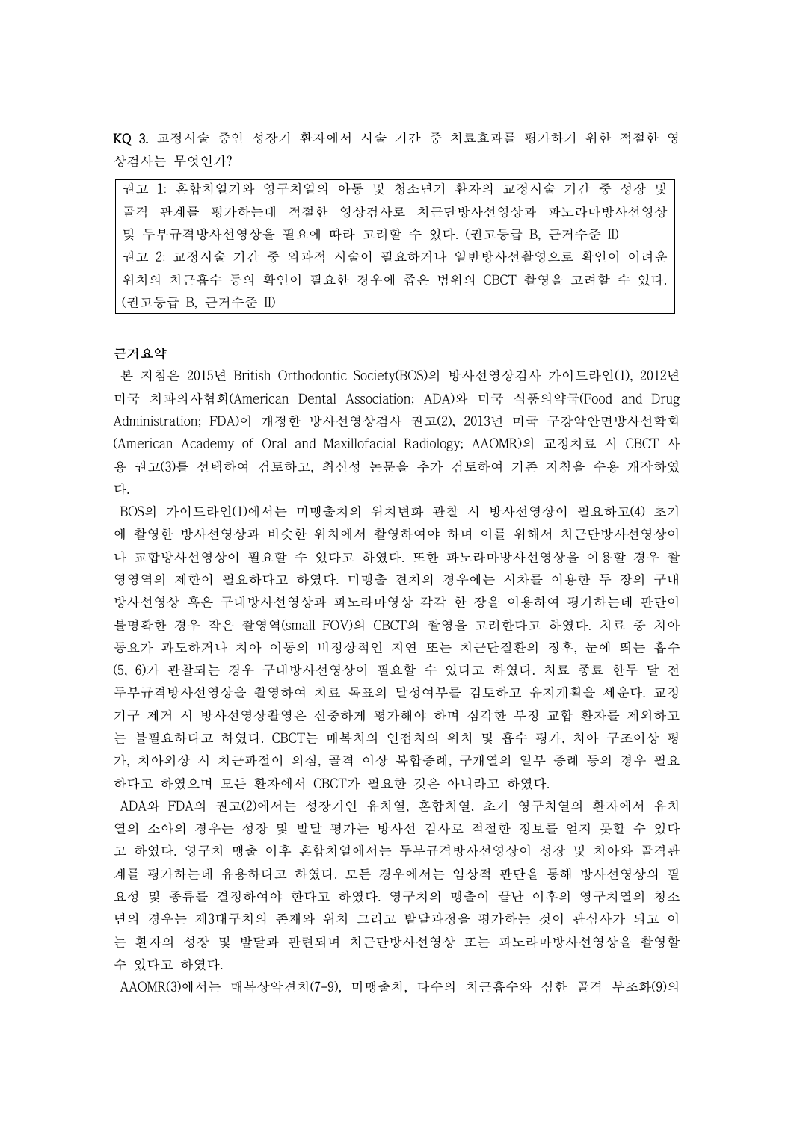KQ 3. 교정시술 중인 성장기 환자에서 시술 기간 중 치료효과를 평가하기 위한 적절한 영 상검사는 무엇인가?

권고 1: 혼합치열기와 영구치열의 아동 및 청소년기 환자의 교정시술 기간 중 성장 및 골격 관계를 평가하는데 적절한 영상검사로 치근단방사선영상과 파노라마방사선영상 및 두부규격방사선영상을 필요에 따라 고려할 수 있다. (권고등급 B, 근거수준 II) 권고 2: 교정시술 기간 중 외과적 시술이 필요하거나 일반방사선촬영으로 확인이 어려운 위치의 치근흡수 등의 확인이 필요한 경우에 좁은 범위의 CBCT 촬영을 고려할 수 있다. (권고등급 B, 근거수준 II)

### 근거요약

본 지침은 2015년 British Orthodontic Society(BOS)의 방사선영상검사 가이드라인(1), 2012년 미국 치과의사협회(American Dental Association; ADA)와 미국 식품의약국(Food and Drug Administration; FDA)이 개정한 방사선영상검사 권고(2), 2013년 미국 구강악안면방사선학회 (American Academy of Oral and Maxillofacial Radiology; AAOMR)의 교정치료 시 CBCT 사 용 권고(3)를 선택하여 검토하고, 최신성 논문을 추가 검토하여 기존 지침을 수용 개작하였 다.

BOS의 가이드라인(1)에서는 미맹출치의 위치변화 관찰 시 방사선영상이 필요하고(4) 초기 에 촬영한 방사선영상과 비슷한 위치에서 촬영하여야 하며 이를 위해서 치근단방사선영상이 나 교합방사선영상이 필요할 수 있다고 하였다. 또한 파노라마방사선영상을 이용할 경우 촬 영영역의 제한이 필요하다고 하였다. 미맹출 견치의 경우에는 시차를 이용한 두 장의 구내 방사선영상 혹은 구내방사선영상과 파노라마영상 각각 한 장을 이용하여 평가하는데 판단이 불명확한 경우 작은 촬영역(small FOV)의 CBCT의 촬영을 고려한다고 하였다. 치료 중 치아 동요가 과도하거나 치아 이동의 비정상적인 지연 또는 치근단질환의 징후, 눈에 띄는 흡수 (5, 6)가 관찰되는 경우 구내방사선영상이 필요할 수 있다고 하였다. 치료 종료 한두 달 전 두부규격방사선영상을 촬영하여 치료 목표의 달성여부를 검토하고 유지계획을 세운다. 교정 기구 제거 시 방사선영상촬영은 신중하게 평가해야 하며 심각한 부정 교합 환자를 제외하고 는 불필요하다고 하였다. CBCT는 매복치의 인접치의 위치 및 흡수 평가, 치아 구조이상 평 가, 치아외상 시 치근파절이 의심, 골격 이상 복합증례, 구개열의 일부 증례 등의 경우 필요 하다고 하였으며 모든 환자에서 CBCT가 필요한 것은 아니라고 하였다.

ADA와 FDA의 권고(2)에서는 성장기인 유치열, 혼합치열, 초기 영구치열의 환자에서 유치 열의 소아의 경우는 성장 및 발달 평가는 방사선 검사로 적절한 정보를 얻지 못할 수 있다 고 하였다. 영구치 맹출 이후 혼합치열에서는 두부규격방사선영상이 성장 및 치아와 골격관 계를 평가하는데 유용하다고 하였다. 모든 경우에서는 임상적 판단을 통해 방사선영상의 필 요성 및 종류를 결정하여야 한다고 하였다. 영구치의 맹출이 끝난 이후의 영구치열의 청소 년의 경우는 제3대구치의 존재와 위치 그리고 발달과정을 평가하는 것이 관심사가 되고 이 는 환자의 성장 및 발달과 관련되며 치근단방사선영상 또는 파노라마방사선영상을 촬영할 수 있다고 하였다.

AAOMR(3)에서는 매복상악견치(7-9), 미맹출치, 다수의 치근흡수와 심한 골격 부조화(9)의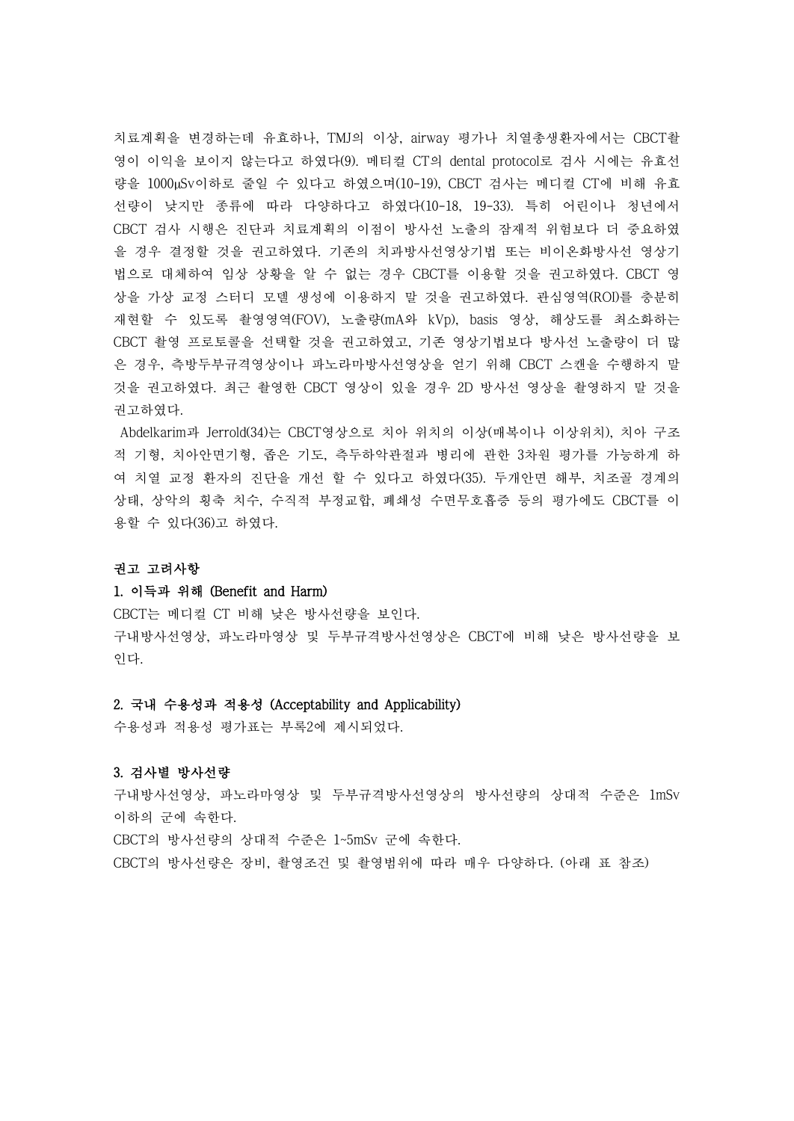치료계획을 변경하는데 유효하나, TMJ의 이상, airway 평가나 치열총생환자에서는 CBCT촬 영이 이익을 보이지 않는다고 하였다(9). 메티컬 CT의 dental protocol로 검사 시에는 유효선 량을 1000µSv이하로 줄일 수 있다고 하였으며(10-19), CBCT 검사는 메디컬 CT에 비해 유효 선량이 낮지만 종류에 따라 다양하다고 하였다(10-18, 19-33). 특히 어린이나 청년에서 CBCT 검사 시행은 진단과 치료계획의 이점이 방사선 노출의 잠재적 위험보다 더 중요하였 을 경우 결정할 것을 권고하였다. 기존의 치과방사선영상기법 또는 비이온화방사선 영상기 법으로 대체하여 임상 상황을 알 수 없는 경우 CBCT를 이용할 것을 권고하였다. CBCT 영 상을 가상 교정 스터디 모델 생성에 이용하지 말 것을 권고하였다. 관심영역(ROI)를 충분히 재현할 수 있도록 촬영영역(FOV), 노출량(mA와 kVp), basis 영상, 해상도를 최소화하는 CBCT 촬영 프로토콜을 선택할 것을 권고하였고, 기존 영상기법보다 방사선 노출량이 더 많 은 경우, 측방두부규격영상이나 파노라마방사선영상을 얻기 위해 CBCT 스캔을 수행하지 말 것을 권고하였다. 최근 촬영한 CBCT 영상이 있을 경우 2D 방사선 영상을 촬영하지 말 것을 권고하였다.<br>Abdelkarim과 Jerrold(34)는 CBCT영상으로 치아 위치의 이상(매복이나 이상위치), 치아 구조

적 기형, 치아안면기형, 좁은 기도, 측두하악관절과 병리에 관한 3차원 평가를 가능하게 하 여 치열 교정 환자의 진단을 개선 할 수 있다고 하였다(35). 두개안면 해부, 치조골 경계의 상태, 상악의 횡축 치수, 수직적 부정교합, 폐쇄성 수면무호흡증 등의 평가에도 CBCT를 이 용할 수 있다(36)고 하였다.

## 권고 고려사항

### 1. 이득과 위해 (Benefit and Harm)

CBCT는 메디컬 CT 비해 낮은 방사선량을 보인다. 구내방사선영상, 파노라마영상 및 두부규격방사선영상은 CBCT에 비해 낮은 방사선량을 보 인다.

#### 2. 국내 수용성과 적용성 (Acceptability and Applicability)

수용성과 적용성 평가표는 부록2에 제시되었다.

# 3. 검사별 방사선량

구내방사선영상, 파노라마영상 및 두부규격방사선영상의 방사선량의 상대적 수준은 1mSv 이하의 군에 속한다.<br>CBCT의 방사선량의 상대적 수준은 1~5mSv 군에 속한다.

CBCT의 방사선량은 장비, 촬영조건 및 촬영범위에 따라 매우 다양하다. (아래 표 참조)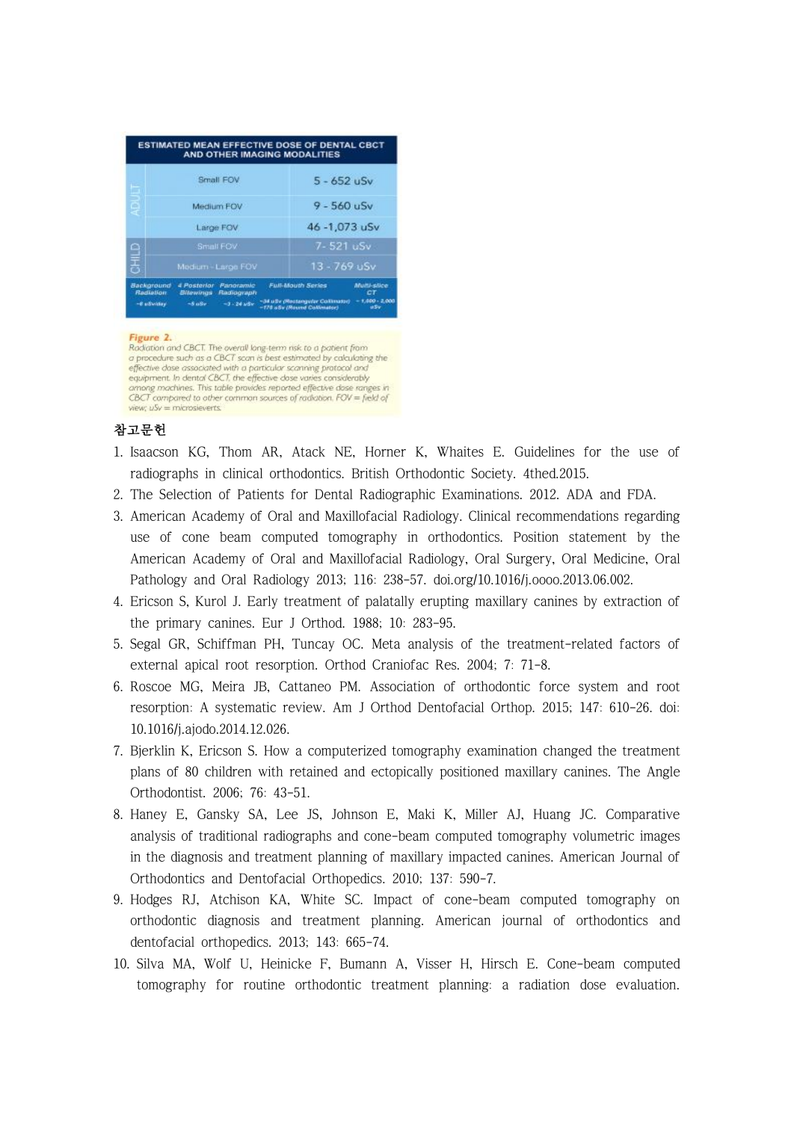| <b>Background</b><br><b>Rediation</b> | 4 Posterior<br>Bitewings | Medium - Large FOV<br>Panoramic<br>Radiograph | $13 - 769$ uSv<br><b>Full-Mouth Series</b> | <b>Multi-slice</b><br>CT      |  |
|---------------------------------------|--------------------------|-----------------------------------------------|--------------------------------------------|-------------------------------|--|
| 日まさ                                   |                          | Small FOV                                     | 7-521 uSv                                  |                               |  |
|                                       |                          | Large FOV                                     |                                            | $9 - 560$ uSv<br>46-1,073 uSv |  |
| g                                     |                          | Medium FOV                                    |                                            |                               |  |
| ь                                     |                          | Small FOV                                     | $5 - 652$ uSv                              |                               |  |

#### Figure 2.

Radiation and CBCT. The overall long-term risk to a patient from To procedure such as a CBCT scan is best estimated by calculating the effective dase associated with a particular scanning protocol and equipment. In dental CBCT, the effective dose varies considerably among machines. This table provides reported effective dose ranges in CBCT compared to other common sources of radiation. FOV = field of wew:  $uSv = m$  icrosievents.

# 참고문헌

- 1. Isaacson KG, Thom AR, Atack NE, Horner K, Whaites E. Guidelines for the use of radiographs in clinical orthodontics. British Orthodontic Society. 4thed.2015.
- 2. The Selection of Patients for Dental Radiographic Examinations. 2012. ADA and FDA.
- 3. American Academy of Oral and Maxillofacial Radiology. Clinical recommendations regarding use of cone beam computed tomography in orthodontics. Position statement by the American Academy of Oral and Maxillofacial Radiology, Oral Surgery, Oral Medicine, Oral Pathology and Oral Radiology 2013; 116: 238-57. doi.org/10.1016/j.oooo.2013.06.002.
- 4. Ericson S, Kurol J. Early treatment of palatally erupting maxillary canines by extraction of the primary canines. Eur J Orthod. 1988; 10: 283-95.
- 5. Segal GR, Schiffman PH, Tuncay OC. Meta analysis of the treatment-related factors of external apical root resorption. Orthod Craniofac Res. 2004; 7: 71-8.
- 6. Roscoe MG, Meira JB, Cattaneo PM. Association of orthodontic force system and root resorption: A systematic review. Am J Orthod Dentofacial Orthop. 2015; 147: 610-26. doi: 10.1016/j.ajodo.2014.12.026.
- 7. Bjerklin K, Ericson S. How a computerized tomography examination changed the treatment plans of 80 children with retained and ectopically positioned maxillary canines. The Angle Orthodontist. 2006; 76: 43-51.
- 8. Haney E, Gansky SA, Lee JS, Johnson E, Maki K, Miller AJ, Huang JC. Comparative analysis of traditional radiographs and cone-beam computed tomography volumetric images in the diagnosis and treatment planning of maxillary impacted canines. American Journal of Orthodontics and Dentofacial Orthopedics. 2010; 137: 590-7.
- 9. Hodges RJ, Atchison KA, White SC. Impact of cone-beam computed tomography on orthodontic diagnosis and treatment planning. American journal of orthodontics and dentofacial orthopedics. 2013; 143: 665-74.
- 10. Silva MA, Wolf U, Heinicke F, Bumann A, Visser H, Hirsch E. Cone-beam computed tomography for routine orthodontic treatment planning: a radiation dose evaluation.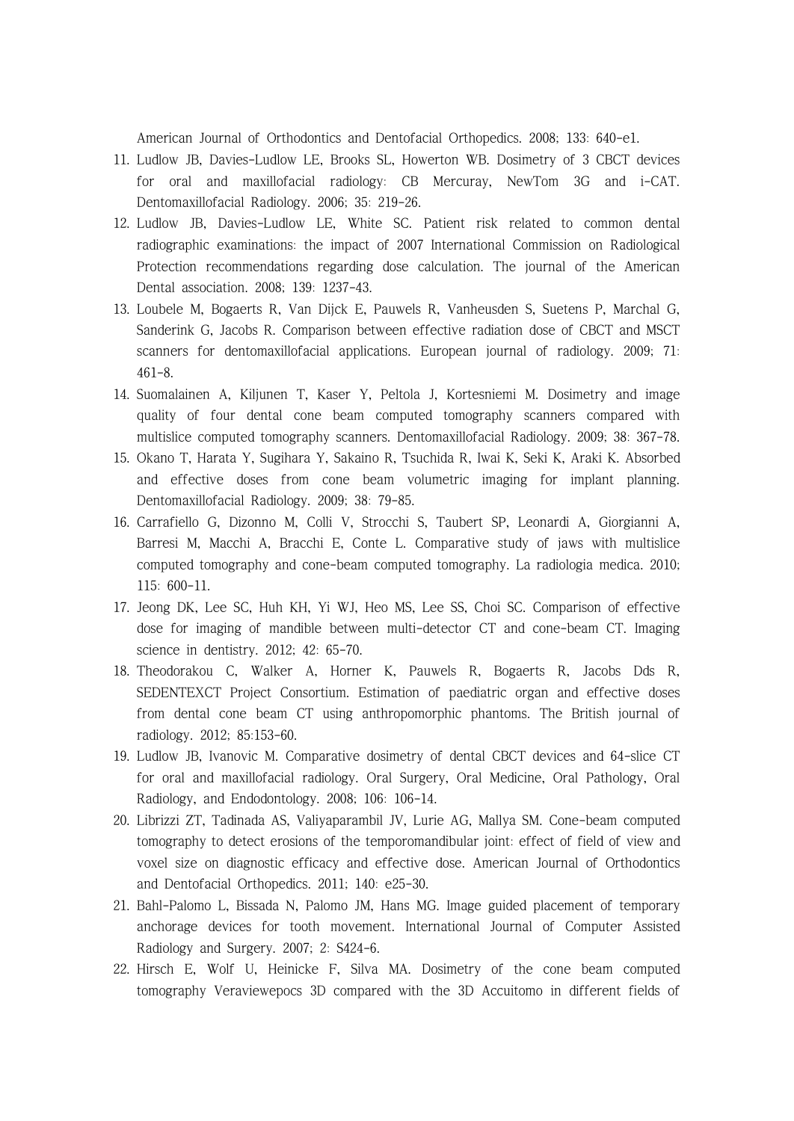American Journal of Orthodontics and Dentofacial Orthopedics. 2008; 133: 640-e1.

- 11. Ludlow JB, Davies-Ludlow LE, Brooks SL, Howerton WB. Dosimetry of 3 CBCT devices for oral and maxillofacial radiology: CB Mercuray, NewTom 3G and i-CAT. Dentomaxillofacial Radiology. 2006; 35: 219-26.
- 12. Ludlow JB, Davies-Ludlow LE, White SC. Patient risk related to common dental radiographic examinations: the impact of 2007 International Commission on Radiological Protection recommendations regarding dose calculation. The journal of the American Dental association. 2008; 139: 1237-43.
- 13. Loubele M, Bogaerts R, Van Dijck E, Pauwels R, Vanheusden S, Suetens P, Marchal G, Sanderink G, Jacobs R. Comparison between effective radiation dose of CBCT and MSCT scanners for dentomaxillofacial applications. European journal of radiology. 2009; 71: 461-8.
- 14. Suomalainen A, Kiljunen T, Kaser Y, Peltola J, Kortesniemi M. Dosimetry and image quality of four dental cone beam computed tomography scanners compared with multislice computed tomography scanners. Dentomaxillofacial Radiology. 2009; 38: 367-78.
- 15. Okano T, Harata Y, Sugihara Y, Sakaino R, Tsuchida R, Iwai K, Seki K, Araki K. Absorbed and effective doses from cone beam volumetric imaging for implant planning. Dentomaxillofacial Radiology. 2009; 38: 79-85.
- 16. Carrafiello G, Dizonno M, Colli V, Strocchi S, Taubert SP, Leonardi A, Giorgianni A, Barresi M, Macchi A, Bracchi E, Conte L. Comparative study of jaws with multislice computed tomography and cone-beam computed tomography. La radiologia medica. 2010; 115: 600-11.
- 17. Jeong DK, Lee SC, Huh KH, Yi WJ, Heo MS, Lee SS, Choi SC. Comparison of effective dose for imaging of mandible between multi-detector CT and cone-beam CT. Imaging science in dentistry. 2012; 42: 65-70.
- 18. Theodorakou C, Walker A, Horner K, Pauwels R, Bogaerts R, Jacobs Dds R, SEDENTEXCT Project Consortium. Estimation of paediatric organ and effective doses from dental cone beam CT using anthropomorphic phantoms. The British journal of radiology. 2012; 85:153-60.
- 19. Ludlow JB, Ivanovic M. Comparative dosimetry of dental CBCT devices and 64-slice CT for oral and maxillofacial radiology. Oral Surgery, Oral Medicine, Oral Pathology, Oral Radiology, and Endodontology. 2008; 106: 106-14.
- 20. Librizzi ZT, Tadinada AS, Valiyaparambil JV, Lurie AG, Mallya SM. Cone-beam computed tomography to detect erosions of the temporomandibular joint: effect of field of view and voxel size on diagnostic efficacy and effective dose. American Journal of Orthodontics and Dentofacial Orthopedics. 2011; 140: e25-30.
- 21. Bahl-Palomo L, Bissada N, Palomo JM, Hans MG. Image guided placement of temporary anchorage devices for tooth movement. International Journal of Computer Assisted Radiology and Surgery. 2007; 2: S424-6.
- 22. Hirsch E, Wolf U, Heinicke F, Silva MA. Dosimetry of the cone beam computed tomography Veraviewepocs 3D compared with the 3D Accuitomo in different fields of